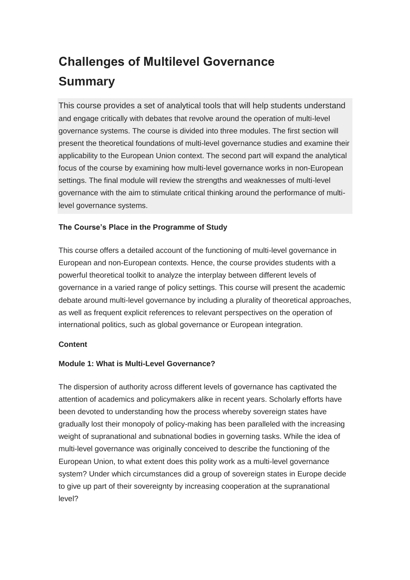# **Challenges of Multilevel Governance Summary**

This course provides a set of analytical tools that will help students understand and engage critically with debates that revolve around the operation of multi-level governance systems. The course is divided into three modules. The first section will present the theoretical foundations of multi-level governance studies and examine their applicability to the European Union context. The second part will expand the analytical focus of the course by examining how multi-level governance works in non-European settings. The final module will review the strengths and weaknesses of multi-level governance with the aim to stimulate critical thinking around the performance of multilevel governance systems.

### **The Course's Place in the Programme of Study**

This course offers a detailed account of the functioning of multi-level governance in European and non-European contexts. Hence, the course provides students with a powerful theoretical toolkit to analyze the interplay between different levels of governance in a varied range of policy settings. This course will present the academic debate around multi-level governance by including a plurality of theoretical approaches, as well as frequent explicit references to relevant perspectives on the operation of international politics, such as global governance or European integration.

### **Content**

### **Module 1: What is Multi-Level Governance?**

The dispersion of authority across different levels of governance has captivated the attention of academics and policymakers alike in recent years. Scholarly efforts have been devoted to understanding how the process whereby sovereign states have gradually lost their monopoly of policy-making has been paralleled with the increasing weight of supranational and subnational bodies in governing tasks. While the idea of multi-level governance was originally conceived to describe the functioning of the European Union, to what extent does this polity work as a multi-level governance system? Under which circumstances did a group of sovereign states in Europe decide to give up part of their sovereignty by increasing cooperation at the supranational level?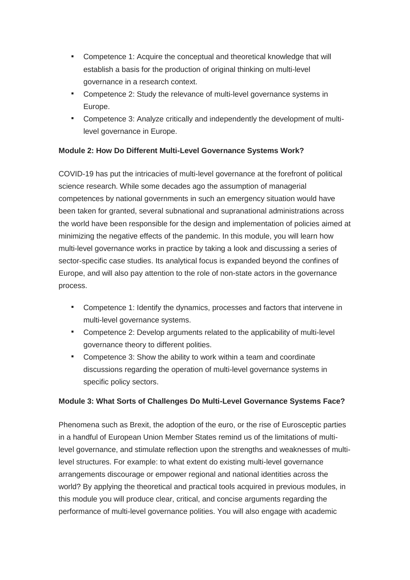- Competence 1: Acquire the conceptual and theoretical knowledge that will establish a basis for the production of original thinking on multi-level governance in a research context.
- Competence 2: Study the relevance of multi-level governance systems in Europe.
- Competence 3: Analyze critically and independently the development of multilevel governance in Europe.

## **Module 2: How Do Different Multi-Level Governance Systems Work?**

COVID-19 has put the intricacies of multi-level governance at the forefront of political science research. While some decades ago the assumption of managerial competences by national governments in such an emergency situation would have been taken for granted, several subnational and supranational administrations across the world have been responsible for the design and implementation of policies aimed at minimizing the negative effects of the pandemic. In this module, you will learn how multi-level governance works in practice by taking a look and discussing a series of sector-specific case studies. Its analytical focus is expanded beyond the confines of Europe, and will also pay attention to the role of non-state actors in the governance process.

- Competence 1: Identify the dynamics, processes and factors that intervene in multi-level governance systems.
- Competence 2: Develop arguments related to the applicability of multi-level governance theory to different polities.
- Competence 3: Show the ability to work within a team and coordinate discussions regarding the operation of multi-level governance systems in specific policy sectors.

### **Module 3: What Sorts of Challenges Do Multi-Level Governance Systems Face?**

Phenomena such as Brexit, the adoption of the euro, or the rise of Eurosceptic parties in a handful of European Union Member States remind us of the limitations of multilevel governance, and stimulate reflection upon the strengths and weaknesses of multilevel structures. For example: to what extent do existing multi-level governance arrangements discourage or empower regional and national identities across the world? By applying the theoretical and practical tools acquired in previous modules, in this module you will produce clear, critical, and concise arguments regarding the performance of multi-level governance polities. You will also engage with academic